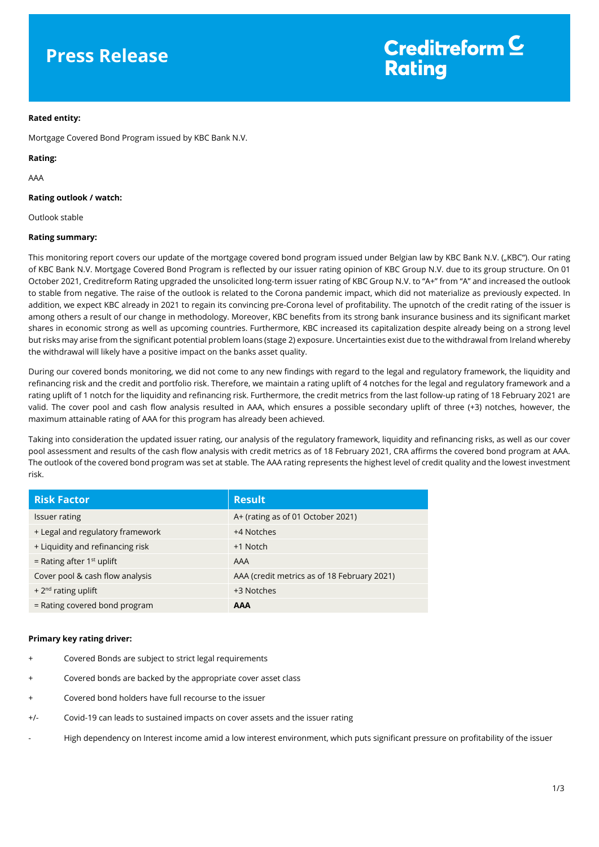## **Press Release**

## **Rated entity:**

Mortgage Covered Bond Program issued by KBC Bank N.V.

## **Rating:**

AAA

## **Rating outlook / watch:**

Outlook stable

## **Rating summary:**

This monitoring report covers our update of the mortgage covered bond program issued under Belgian law by KBC Bank N.V. ("KBC"). Our rating of KBC Bank N.V. Mortgage Covered Bond Program is reflected by our issuer rating opinion of KBC Group N.V. due to its group structure. On 01 October 2021, Creditreform Rating upgraded the unsolicited long-term issuer rating of KBC Group N.V. to "A+" from "A" and increased the outlook to stable from negative. The raise of the outlook is related to the Corona pandemic impact, which did not materialize as previously expected. In addition, we expect KBC already in 2021 to regain its convincing pre-Corona level of profitability. The upnotch of the credit rating of the issuer is among others a result of our change in methodology. Moreover, KBC benefits from its strong bank insurance business and its significant market shares in economic strong as well as upcoming countries. Furthermore, KBC increased its capitalization despite already being on a strong level but risks may arise from the significant potential problem loans (stage 2) exposure. Uncertainties exist due to the withdrawal from Ireland whereby the withdrawal will likely have a positive impact on the banks asset quality.

During our covered bonds monitoring, we did not come to any new findings with regard to the legal and regulatory framework, the liquidity and refinancing risk and the credit and portfolio risk. Therefore, we maintain a rating uplift of 4 notches for the legal and regulatory framework and a rating uplift of 1 notch for the liquidity and refinancing risk. Furthermore, the credit metrics from the last follow-up rating of 18 February 2021 are valid. The cover pool and cash flow analysis resulted in AAA, which ensures a possible secondary uplift of three (+3) notches, however, the maximum attainable rating of AAA for this program has already been achieved.

Taking into consideration the updated issuer rating, our analysis of the regulatory framework, liquidity and refinancing risks, as well as our cover pool assessment and results of the cash flow analysis with credit metrics as of 18 February 2021, CRA affirms the covered bond program at AAA. The outlook of the covered bond program was set at stable. The AAA rating represents the highest level of credit quality and the lowest investment risk.

| <b>Risk Factor</b>               | <b>Result</b>                               |
|----------------------------------|---------------------------------------------|
| <b>Issuer rating</b>             | A+ (rating as of 01 October 2021)           |
| + Legal and regulatory framework | +4 Notches                                  |
| + Liquidity and refinancing risk | +1 Notch                                    |
| = Rating after $1st$ uplift      | AAA                                         |
| Cover pool & cash flow analysis  | AAA (credit metrics as of 18 February 2021) |
| + $2nd$ rating uplift            | +3 Notches                                  |
| = Rating covered bond program    | AAA                                         |

## **Primary key rating driver:**

- Covered Bonds are subject to strict legal requirements
- Covered bonds are backed by the appropriate cover asset class
- Covered bond holders have full recourse to the issuer
- +/- Covid-19 can leads to sustained impacts on cover assets and the issuer rating
- High dependency on Interest income amid a low interest environment, which puts significant pressure on profitability of the issuer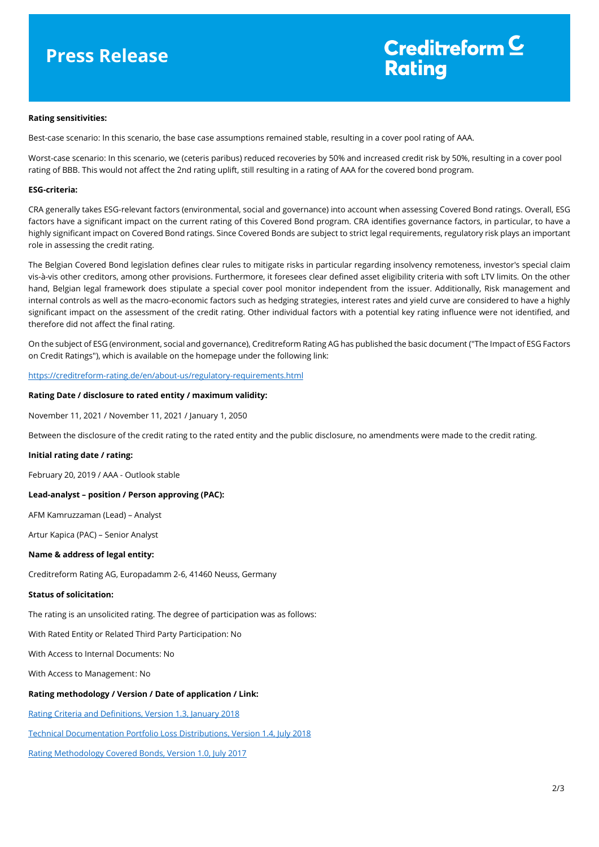## **Press Release**

# Creditreform  $\subseteq$ **Rating**

#### **Rating sensitivities:**

Best-case scenario: In this scenario, the base case assumptions remained stable, resulting in a cover pool rating of AAA.

Worst-case scenario: In this scenario, we (ceteris paribus) reduced recoveries by 50% and increased credit risk by 50%, resulting in a cover pool rating of BBB. This would not affect the 2nd rating uplift, still resulting in a rating of AAA for the covered bond program.

#### **ESG-criteria:**

CRA generally takes ESG-relevant factors (environmental, social and governance) into account when assessing Covered Bond ratings. Overall, ESG factors have a significant impact on the current rating of this Covered Bond program. CRA identifies governance factors, in particular, to have a highly significant impact on Covered Bond ratings. Since Covered Bonds are subject to strict legal requirements, regulatory risk plays an important role in assessing the credit rating.

The Belgian Covered Bond legislation defines clear rules to mitigate risks in particular regarding insolvency remoteness, investor's special claim vis-à-vis other creditors, among other provisions. Furthermore, it foresees clear defined asset eligibility criteria with soft LTV limits. On the other hand, Belgian legal framework does stipulate a special cover pool monitor independent from the issuer. Additionally, Risk management and internal controls as well as the macro-economic factors such as hedging strategies, interest rates and yield curve are considered to have a highly significant impact on the assessment of the credit rating. Other individual factors with a potential key rating influence were not identified, and therefore did not affect the final rating.

On the subject of ESG (environment, social and governance), Creditreform Rating AG has published the basic document ("The Impact of ESG Factors on Credit Ratings"), which is available on the homepage under the following link:

<https://creditreform-rating.de/en/about-us/regulatory-requirements.html>

#### **Rating Date / disclosure to rated entity / maximum validity:**

November 11, 2021 / November 11, 2021 / January 1, 2050

Between the disclosure of the credit rating to the rated entity and the public disclosure, no amendments were made to the credit rating.

### **Initial rating date / rating:**

February 20, 2019 / AAA - Outlook stable

## **Lead-analyst – position / Person approving (PAC):**

AFM Kamruzzaman (Lead) – Analyst

Artur Kapica (PAC) – Senior Analyst

### **Name & address of legal entity:**

Creditreform Rating AG, Europadamm 2-6, 41460 Neuss, Germany

### **Status of solicitation:**

The rating is an unsolicited rating. The degree of participation was as follows:

With Rated Entity or Related Third Party Participation: No

With Access to Internal Documents: No

With Access to Management: No

## **Rating methodology / Version / Date of application / Link:**

[Rating Criteria and Definitions, Version 1.3, January 2018](https://creditreform-rating.de/en/about-us/regulatory-requirements.html?file=files/content/downloads/Externes%20Rating/Regulatorische%20Anforderungen/EN/Ratingmethodiken%20EN/CRAG%20Rating%20Criteria%20and%20Definitions.pdf)

[Technical Documentation Portfolio Loss Distributions, Version 1.4, July 2018](https://creditreform-rating.de/en/about-us/regulatory-requirements.html?file=files/content/downloads/Externes%20Rating/Regulatorische%20Anforderungen/EN/Ratingmethodiken%20EN/Technical%20Documentation%20Portfolio%20Loss%20Distributions.pdf)

[Rating Methodology Covered Bonds, Version 1.0, July 2017](https://creditreform-rating.de/en/about-us/regulatory-requirements.html?file=files/content/downloads/Externes%20Rating/Regulatorische%20Anforderungen/EN/Ratingmethodiken%20EN/Rating%20Methodology%20Covered%20Bonds.pdf)